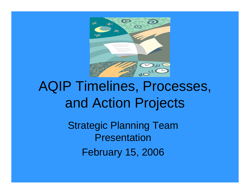

# AQIP Timelines, Processes, and Action Projects

Strategic Planning Team PresentationFebruary 15, 2006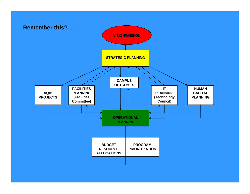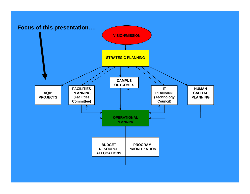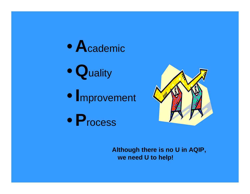$\bullet$ **A**cademic

•**Q**uality

•**I**mprovement

•**P**rocess



**Although there is no U in AQIP, we need U to help!**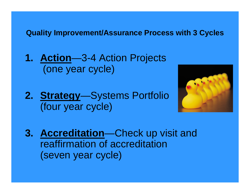**Quality Improvement/Assurance Process with 3 Cycles**

**1. Action**—3-4 Action Projects (one year cycle)

**2. Strategy**—Systems Portfolio (four year cycle)



**3. Accreditation**—Check up visit and reaffirmation of accreditation(seven year cycle)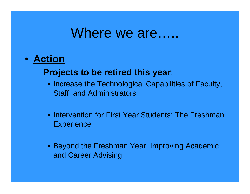### Where we are……

- **Action**
	- **Projects to be retired this year**:
		- Increase the Technological Capabilities of Faculty, Staff, and Administrators
		- Intervention for First Year Students: The Freshman **Experience**
		- Beyond the Freshman Year: Improving Academic and Career Advising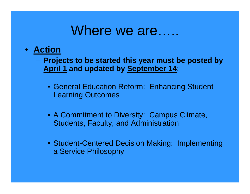### Where we are…..

#### • **Action**

- **Projects to be started this year must be posted by April 1 and updated by September 14**:
	- General Education Reform: Enhancing Student Learning Outcomes
	- A Commitment to Diversity: Campus Climate, Students, Faculty, and Administration
	- Student-Centered Decision Making: Implementing a Service Philosophy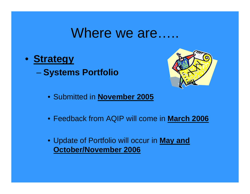#### Where we are……

• **Strategy Systems Portfolio** 



- Submitted in **November 2005**
- Feedback from AQIP will come in **March 2006**
- Update of Portfolio will occur in **May and October/November 2006**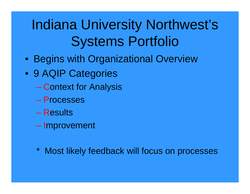# Indiana University Northwest's Systems Portfolio

- Begins with Organizational Overview
- 9 AQIP Categories
	- **Context for Analysis**
	- Processes
	- Results
	- **Improvement**
	- \* Most likely feedback will focus on processes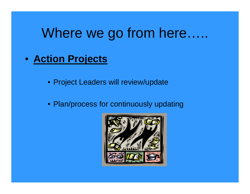- **Action Projects**
	- Project Leaders will review/update
	- Plan/process for continuously updating

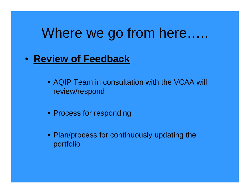- **Review of Feedback**
	- AQIP Team in consultation with the VCAA will review/respond
	- Process for responding
	- Plan/process for continuously updating the portfolio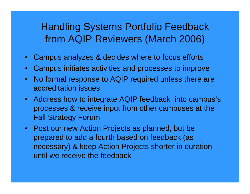#### Handling Systems Portfolio Feedback from AQIP Reviewers (March 2006)

- •Campus analyzes & decides where to focus efforts
- $\bullet$ Campus initiates activities and processes to improve
- No formal response to AQIP required unless there are accreditation issues
- Address how to integrate AQIP feedback into campus's processes & receive input from other campuses at the Fall Strategy Forum
- Post our new Action Projects as planned, but be prepared to add a fourth based on feedback (as necessary) & keep Action Projects shorter in duration until we receive the feedback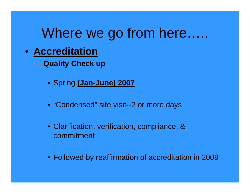#### • **Accreditation**

–**Quality Check up**

- Spring **(Jan-June) 2007**
- "Condensed" site visit--2 or more days
- Clarification, verification, compliance, & commitment
- Followed by reaffirmation of accreditation in 2009